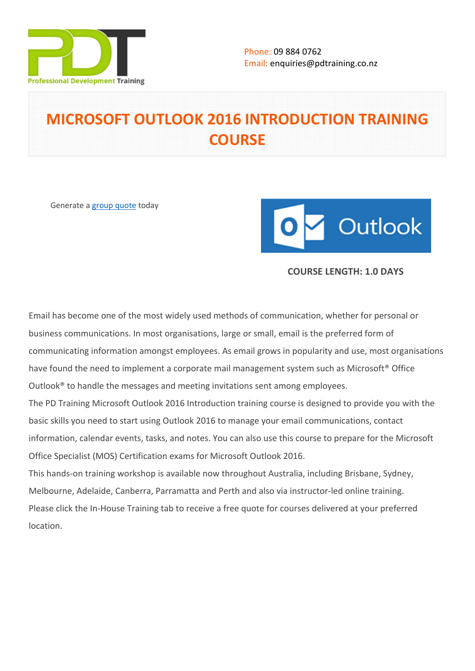

# **MICROSOFT OUTLOOK 2016 INTRODUCTION TRAINING COURSE**

Generate a [group quote](https://pdtraining.co.nz/inhouse-training-quote?cse=MSO16IN) today



# **COURSE LENGTH: 1.0 DAYS**

Email has become one of the most widely used methods of communication, whether for personal or business communications. In most organisations, large or small, email is the preferred form of communicating information amongst employees. As email grows in popularity and use, most organisations have found the need to implement a corporate mail management system such as Microsoft<sup>®</sup> Office Outlook® to handle the messages and meeting invitations sent among employees.

The PD Training Microsoft Outlook 2016 Introduction training course is designed to provide you with the basic skills you need to start using Outlook 2016 to manage your email communications, contact information, calendar events, tasks, and notes. You can also use this course to prepare for the Microsoft Office Specialist (MOS) Certification exams for Microsoft Outlook 2016.

This hands-on training workshop is available now throughout Australia, including Brisbane, Sydney, Melbourne, Adelaide, Canberra, Parramatta and Perth and also via instructor-led online training. Please click the In-House Training tab to receive a free quote for courses delivered at your preferred location.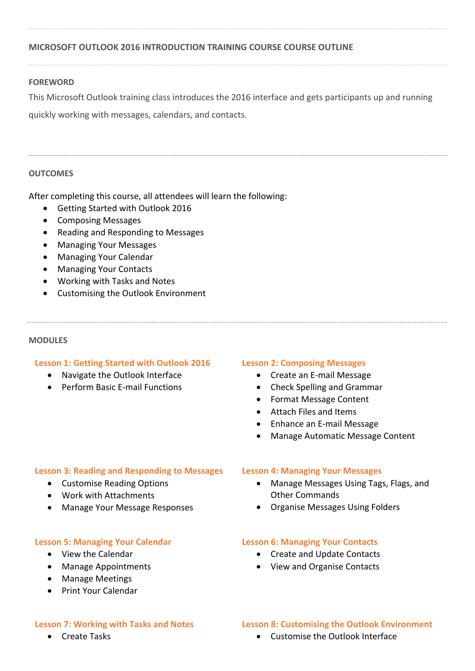# **MICROSOFT OUTLOOK 2016 INTRODUCTION TRAINING COURSE COURSE OUTLINE**

#### **FOREWORD**

This Microsoft Outlook training class introduces the 2016 interface and gets participants up and running

quickly working with messages, calendars, and contacts.

# **OUTCOMES**

After completing this course, all attendees will learn the following:

- Getting Started with Outlook 2016
- Composing Messages
- Reading and Responding to Messages
- Managing Your Messages
- Managing Your Calendar
- Managing Your Contacts
- Working with Tasks and Notes
- Customising the Outlook Environment

#### **MODULES**

#### **Lesson 1: Getting Started with Outlook 2016**

- Navigate the Outlook Interface
- Perform Basic E-mail Functions

#### **Lesson 2: Composing Messages**

- Create an E-mail Message
- Check Spelling and Grammar
- Format Message Content
- Attach Files and Items
- Enhance an E-mail Message
- Manage Automatic Message Content

#### **Lesson 3: Reading and Responding to Messages**

- Customise Reading Options
- Work with Attachments
- Manage Your Message Responses

#### **Lesson 5: Managing Your Calendar**

- View the Calendar
- Manage Appointments
- Manage Meetings
- **•** Print Your Calendar

# **Lesson 4: Managing Your Messages**

- Manage Messages Using Tags, Flags, and Other Commands
- Organise Messages Using Folders

#### **Lesson 6: Managing Your Contacts**

- Create and Update Contacts
- View and Organise Contacts

#### **Lesson 7: Working with Tasks and Notes**

• Create Tasks

# **Lesson 8: Customising the Outlook Environment**

Customise the Outlook Interface